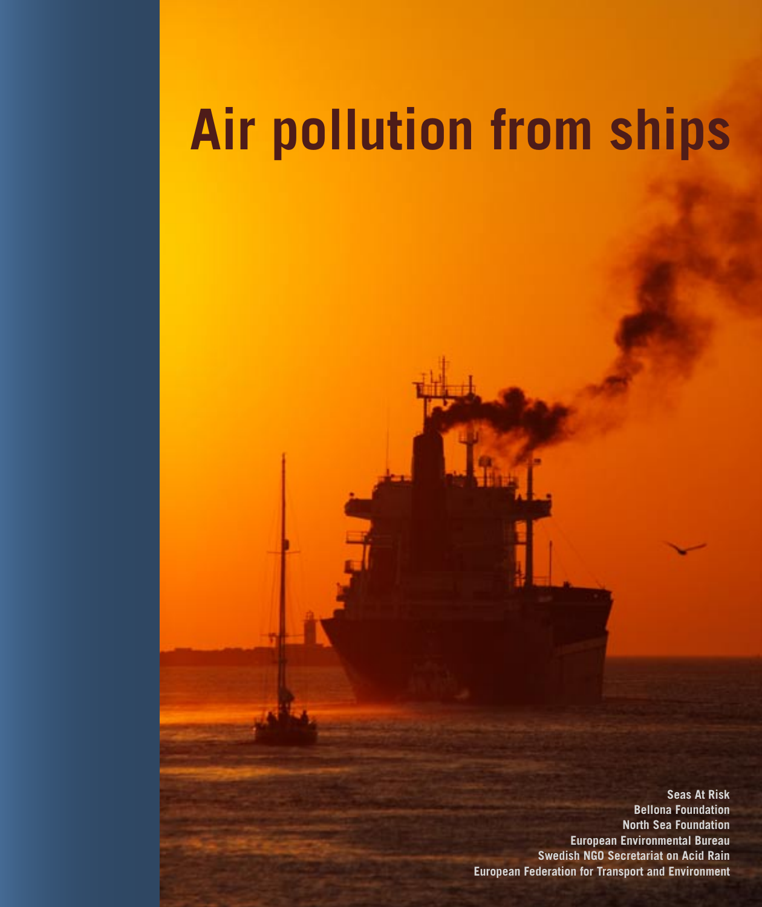# **Air pollution from ships**

**Seas At Risk Bellona Foundation North Sea Foundation European Environmental Bureau Swedish NGO Secretariat on Acid Rain European Federation for Transport and Environment**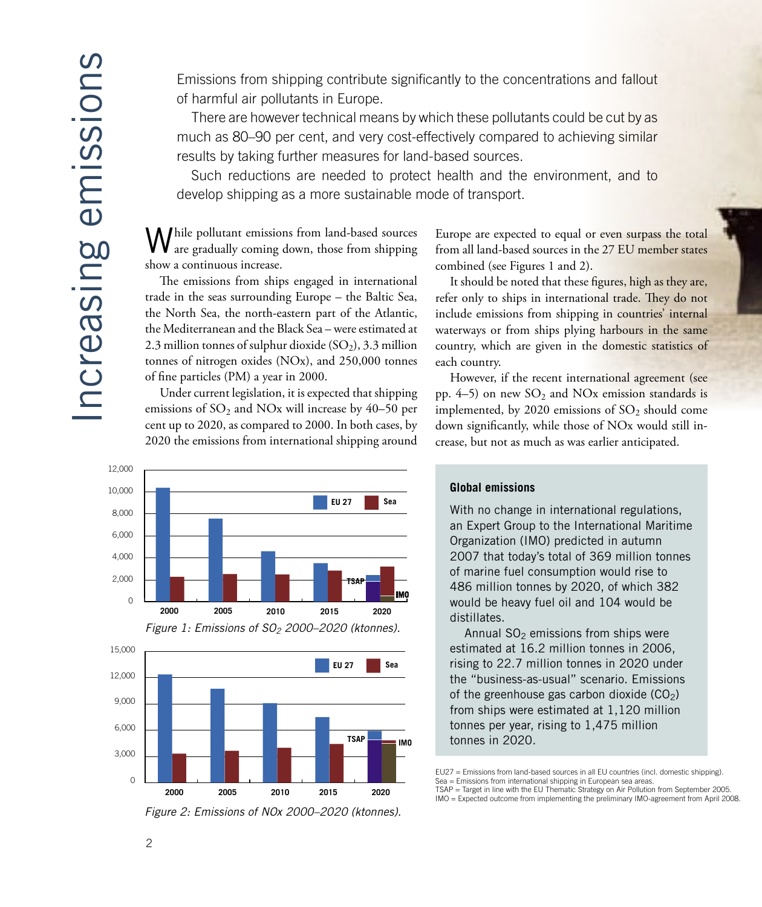Emissions from shipping contribute significantly to the concentrations and fallout of harmful air pollutants in Europe.

There are however technical means by which these pollutants could be cut by as much as 80–90 per cent, and very cost-effectively compared to achieving similar results by taking further measures for land-based sources.

Such reductions are needed to protect health and the environment, and to develop shipping as a more sustainable mode of transport.

hile pollutant emissions from land-based sources are gradually coming down, those from shipping show a continuous increase.

The emissions from ships engaged in international trade in the seas surrounding Europe - the Baltic Sea, the North Sea, the north-eastern part of the Atlantic, the Mediterranean and the Black Sea - were estimated at 2.3 million tonnes of sulphur dioxide  $(SO<sub>2</sub>)$ , 3.3 million tonnes of nitrogen oxides (NOx), and 250,000 tonnes of fine particles (PM) a year in 2000.

Under current legislation, it is expected that shipping emissions of  $SO_2$  and NOx will increase by 40–50 per cent up to 2020, as compared to 2000. In both cases, by 2020 the emissions from international shipping around



Europe are expected to equal or even surpass the total from all land-based sources in the 27 EU member states combined (see Figures 1 and 2).

It should be noted that these figures, high as they are, refer only to ships in international trade. They do not include emissions from shipping in countries' internal waterways or from ships plying harbours in the same country, which are given in the domestic statistics of each country.

However, if the recent international agreement (see pp.  $4-5$ ) on new  $SO<sub>2</sub>$  and NO<sub>x</sub> emission standards is implemented, by 2020 emissions of  $SO_2$  should come down significantly, while those of NO<sub>x</sub> would still increase, but not as much as was earlier anticipated.

#### **Global emissions**

With no change in international regulations, an Expert Group to the International Maritime Organization (IMO) predicted in autumn 2007 that today's total of 369 million tonnes of marine fuel consumption would rise to 486 million tonnes by 2020, of which 382 would be heavy fuel oil and 104 would be distillates.

Annual  $SO<sub>2</sub>$  emissions from ships were estimated at 16.2 million tonnes in 2006, rising to 22.7 million tonnes in 2020 under the "business-as-usual" scenario. Emissions of the greenhouse gas carbon dioxide  $(CO<sub>2</sub>)$ from ships were estimated at 1,120 million tonnes per year, rising to 1,475 million tonnes in 2020.

IMO = Expected outcome from implementing the preliminary IMO-agreement from April 2008



2010

2015

2020

2005

2000

3,000

 $\Omega$ 

EU27 = Emissions from land-based sources in all EU countries (incl. domestic shipping) Sea = Emissions from international shipping in European sea areas.<br>TSAP = Target in line with the EU Thematic Strategy on Air Pollution from September 2005.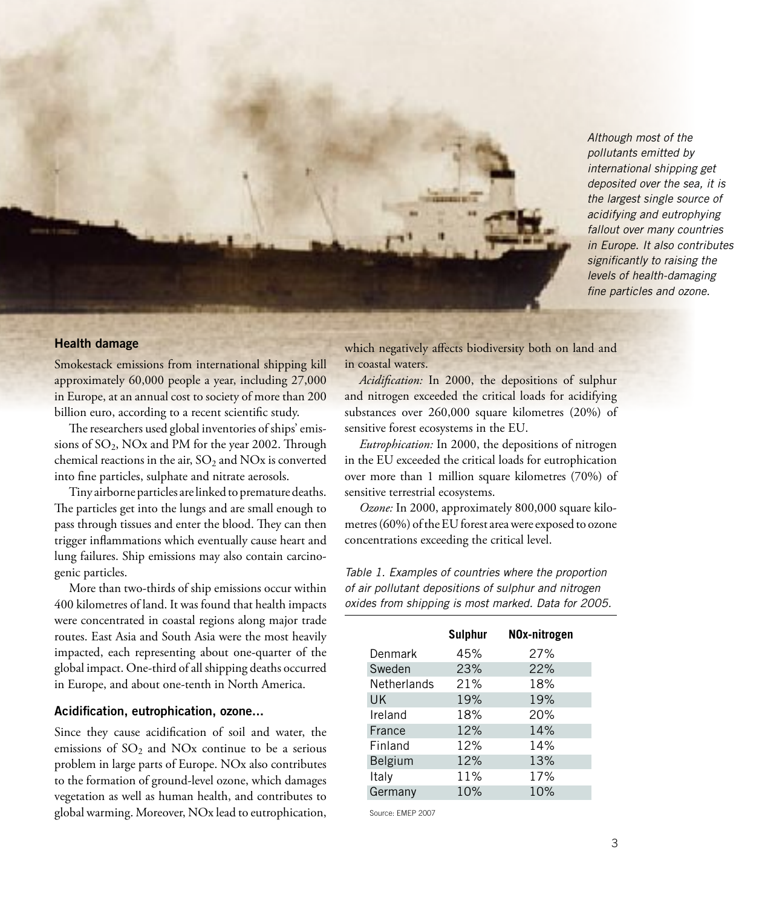Although most of the pollutants emitted by international shipping get deposited over the sea, it is the largest single source of acidifying and eutrophying fallout over many countries in Europe. It also contributes significantly to raising the levels of health-damaging fine particles and ozone.

#### **Health damage**

Smokestack emissions from international shipping kill approximately 60,000 people a year, including 27,000 in Europe, at an annual cost to society of more than 200 billion euro, according to a recent scientific study.

The researchers used global inventories of ships' emissions of SO2, NOx and PM for the year 2002. Through chemical reactions in the air,  $SO_2$  and  $NOx$  is converted into fine particles, sulphate and nitrate aerosols.

Tiny airborne particles are linked to premature deaths. The particles get into the lungs and are small enough to pass through tissues and enter the blood. They can then trigger inflammations which eventually cause heart and lung failures. Ship emissions may also contain carcinogenic particles.

More than two-thirds of ship emissions occur within 400 kilometres of land. It was found that health impacts were concentrated in coastal regions along major trade routes. East Asia and South Asia were the most heavily impacted, each representing about one-quarter of the global impact. One-third of all shipping deaths occurred in Europe, and about one-tenth in North America.

#### **Acidification, eutrophication, ozone...**

Since they cause acidification of soil and water, the emissions of  $SO<sub>2</sub>$  and NOx continue to be a serious problem in large parts of Europe. NOx also contributes to the formation of ground-level ozone, which damages vegetation as well as human health, and contributes to global warming. Moreover, NOx lead to eutrophication,

which negatively affects biodiversity both on land and in coastal waters.

*Acidification:* In 2000, the depositions of sulphur and nitrogen exceeded the critical loads for acidifying substances over 260,000 square kilometres (20%) of sensitive forest ecosystems in the EU.

*Eutrophication:* In 2000, the depositions of nitrogen in the EU exceeded the critical loads for eutrophication over more than 1 million square kilometres (70%) of sensitive terrestrial ecosystems.

*Ozone:* In 2000, approximately 800,000 square kilometres (60%) of the EU forest area were exposed to ozone concentrations exceeding the critical level.

| Table 1. Examples of countries where the proportion  |
|------------------------------------------------------|
| of air pollutant depositions of sulphur and nitrogen |
| oxides from shipping is most marked. Data for 2005.  |

|                | <b>Sulphur</b> | NOx-nitrogen |
|----------------|----------------|--------------|
| Denmark        | 45%            | 27%          |
| Sweden         | 23%            | 22%          |
| Netherlands    | 21%            | 18%          |
| <b>UK</b>      | 19%            | 19%          |
| Ireland        | 18%            | 20%          |
| France         | 12%            | 14%          |
| Finland        | 12%            | 14%          |
| <b>Belgium</b> | 12%            | 13%          |
| Italy          | 11%            | 17%          |
| Germany        | 10%            | 10%          |

Source: EMEP 2007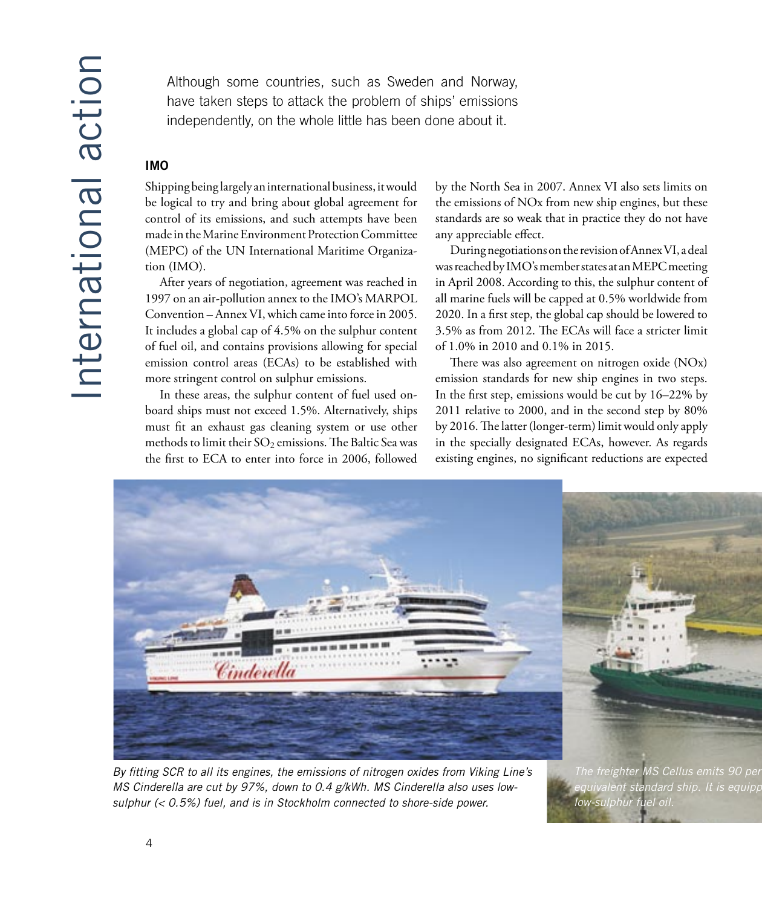Although some countries, such as Sweden and Norway, have taken steps to attack the problem of ships' emissions independently, on the whole little has been done about it.

#### **IMO**

Shipping being largely an international business, it would be logical to try and bring about global agreement for control of its emissions, and such attempts have been made in the Marine Environment Protection Committee (MEPC) of the UN International Maritime Organization (IMO).

After years of negotiation, agreement was reached in 1997 on an air-pollution annex to the IMO's MARPOL Convention – Annex VI, which came into force in 2005. It includes a global cap of 4.5% on the sulphur content of fuel oil, and contains provisions allowing for special emission control areas (ECAs) to be established with more stringent control on sulphur emissions.

In these areas, the sulphur content of fuel used onboard ships must not exceed 1.5%. Alternatively, ships must fit an exhaust gas cleaning system or use other methods to limit their  $SO_2$  emissions. The Baltic Sea was the first to ECA to enter into force in 2006, followed by the North Sea in 2007. Annex VI also sets limits on the emissions of NOx from new ship engines, but these standards are so weak that in practice they do not have any appreciable effect.

During negotiations on the revision of Annex VI, a deal was reached by IMO's member states at an MEPC meeting in April 2008. According to this, the sulphur content of all marine fuels will be capped at 0.5% worldwide from 2020. In a first step, the global cap should be lowered to 3.5% as from 2012. The ECAs will face a stricter limit of 1.0% in 2010 and 0.1% in 2015.

There was also agreement on nitrogen oxide (NOx) emission standards for new ship engines in two steps. In the first step, emissions would be cut by 16–22% by 2011 relative to 2000, and in the second step by 80% by 2016. The latter (longer-term) limit would only apply in the specially designated ECAs, however. As regards existing engines, no significant reductions are expected



By fitting SCR to all its engines, the emissions of nitrogen oxides from Viking Line's MS Cinderella are cut by 97%, down to 0.4 g/kWh. MS Cinderella also uses lowsulphur (< 0.5%) fuel, and is in Stockholm connected to shore-side power.

The freighter MS Cellus emits 90 per equivalent standard ship. It is equipp low-sulphur fuel oil.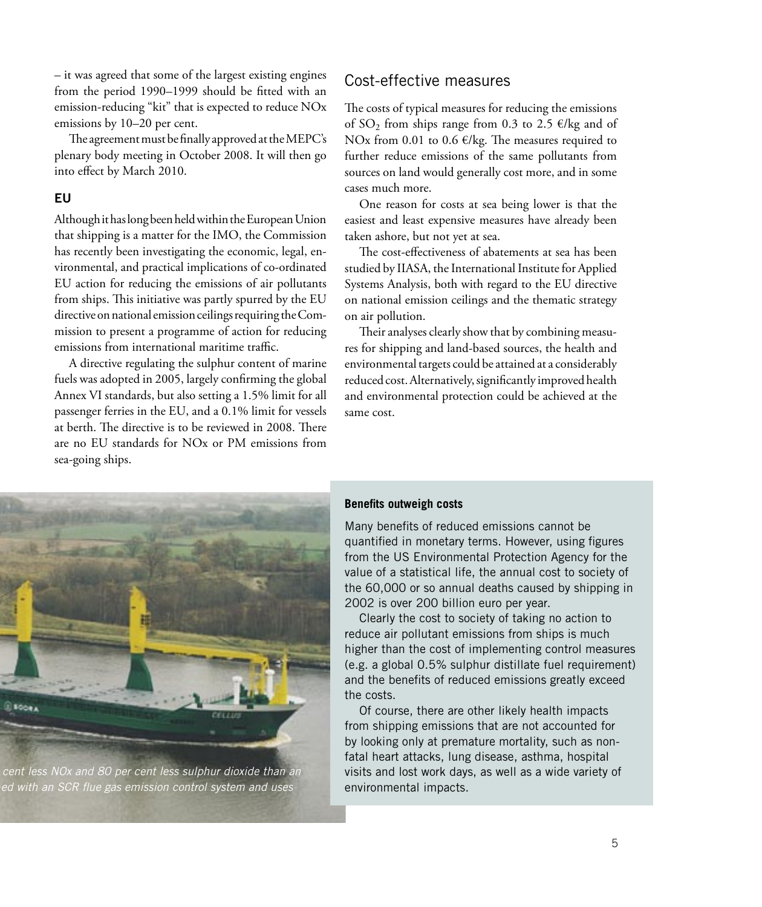– it was agreed that some of the largest existing engines from the period 1990–1999 should be fitted with an emission-reducing "kit" that is expected to reduce NOx emissions by 10–20 per cent.

The agreement must be finally approved at the MEPC's plenary body meeting in October 2008. It will then go into effect by March 2010.

#### **EU**

Although it has long been held within the European Union that shipping is a matter for the IMO, the Commission has recently been investigating the economic, legal, environmental, and practical implications of co-ordinated EU action for reducing the emissions of air pollutants from ships. This initiative was partly spurred by the EU directive on national emission ceilings requiring the Commission to present a programme of action for reducing emissions from international maritime traffic.

A directive regulating the sulphur content of marine fuels was adopted in 2005, largely confirming the global Annex VI standards, but also setting a 1.5% limit for all passenger ferries in the EU, and a 0.1% limit for vessels at berth. The directive is to be reviewed in 2008. There are no EU standards for NOx or PM emissions from sea-going ships.

#### Cost-effective measures

The costs of typical measures for reducing the emissions of  $SO_2$  from ships range from 0.3 to 2.5  $\epsilon$ /kg and of NOx from 0.01 to 0.6 €/kg. The measures required to further reduce emissions of the same pollutants from sources on land would generally cost more, and in some cases much more.

One reason for costs at sea being lower is that the easiest and least expensive measures have already been taken ashore, but not yet at sea.

The cost-effectiveness of abatements at sea has been studied by IIASA, the International Institute for Applied Systems Analysis, both with regard to the EU directive on national emission ceilings and the thematic strategy on air pollution.

Their analyses clearly show that by combining measures for shipping and land-based sources, the health and environmental targets could be attained at a considerably reduced cost. Alternatively, significantly improved health and environmental protection could be achieved at the same cost.



cent less NOx and 80 per cent less sulphur dioxide than an ed with an SCR flue gas emission control system and uses

#### **Benefits outweigh costs**

Many benefits of reduced emissions cannot be quantified in monetary terms. However, using figures from the US Environmental Protection Agency for the value of a statistical life, the annual cost to society of the 60,000 or so annual deaths caused by shipping in 2002 is over 200 billion euro per year.

Clearly the cost to society of taking no action to reduce air pollutant emissions from ships is much higher than the cost of implementing control measures (e.g. a global 0.5% sulphur distillate fuel requirement) and the benefits of reduced emissions greatly exceed the costs.

Of course, there are other likely health impacts from shipping emissions that are not accounted for by looking only at premature mortality, such as nonfatal heart attacks, lung disease, asthma, hospital visits and lost work days, as well as a wide variety of environmental impacts.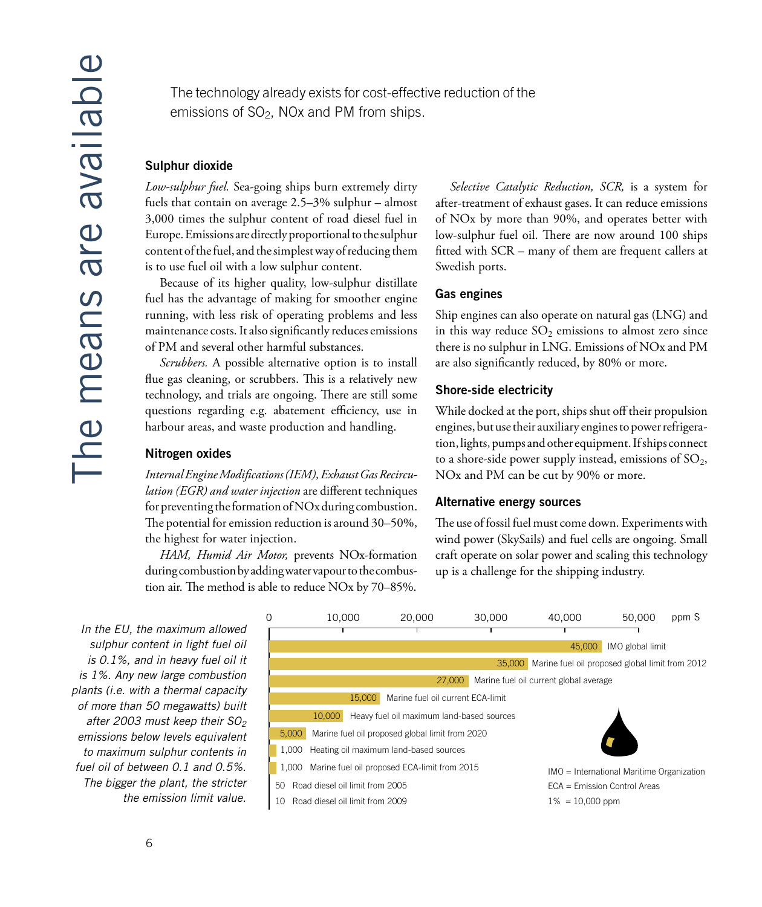The technology already exists for cost-effective reduction of the emissions of  $SO<sub>2</sub>$ , NOx and PM from ships.

#### Sulphur dioxide

Low-sulphur fuel. Sea-going ships burn extremely dirty fuels that contain on average  $2.5-3\%$  sulphur – almost 3,000 times the sulphur content of road diesel fuel in Europe. Emissions are directly proportional to the sulphur content of the fuel, and the simplest way of reducing them is to use fuel oil with a low sulphur content.

Because of its higher quality, low-sulphur distillate fuel has the advantage of making for smoother engine running, with less risk of operating problems and less maintenance costs. It also significantly reduces emissions of PM and several other harmful substances.

Scrubbers. A possible alternative option is to install flue gas cleaning, or scrubbers. This is a relatively new technology, and trials are ongoing. There are still some questions regarding e.g. abatement efficiency, use in harbour areas, and waste production and handling.

#### Nitrogen oxides

Internal Engine Modifications (IEM), Exhaust Gas Recirculation (EGR) and water injection are different techniques for preventing the formation of NOx during combustion. The potential for emission reduction is around 30–50%, the highest for water injection.

HAM, Humid Air Motor, prevents NOx-formation during combustion by adding water vapour to the combustion air. The method is able to reduce NOx by 70-85%.

Selective Catalytic Reduction, SCR, is a system for after-treatment of exhaust gases. It can reduce emissions of NO<sub>x</sub> by more than 90%, and operates better with low-sulphur fuel oil. There are now around 100 ships fitted with SCR – many of them are frequent callers at Swedish ports.

#### **Gas engines**

Ship engines can also operate on natural gas (LNG) and in this way reduce  $SO_2$  emissions to almost zero since there is no sulphur in LNG. Emissions of NO<sub>x</sub> and PM are also significantly reduced, by 80% or more.

#### **Shore-side electricity**

While docked at the port, ships shut off their propulsion engines, but use their auxiliary engines to power refrigeration, lights, pumps and other equipment. If ships connect to a shore-side power supply instead, emissions of SO<sub>2</sub>, NO<sub>x</sub> and PM can be cut by 90% or more.

#### **Alternative energy sources**

The use of fossil fuel must come down. Experiments with wind power (SkySails) and fuel cells are ongoing. Small craft operate on solar power and scaling this technology up is a challenge for the shipping industry.

In the EU, the maximum allowed sulphur content in light fuel oil is 0.1%, and in heavy fuel oil it is 1%. Any new large combustion plants (i.e. with a thermal capacity of more than 50 megawatts) built after 2003 must keep their SO<sub>2</sub> emissions below levels equivalent to maximum sulphur contents in fuel oil of between 0.1 and 0.5%. The bigger the plant, the stricter the emission limit value.

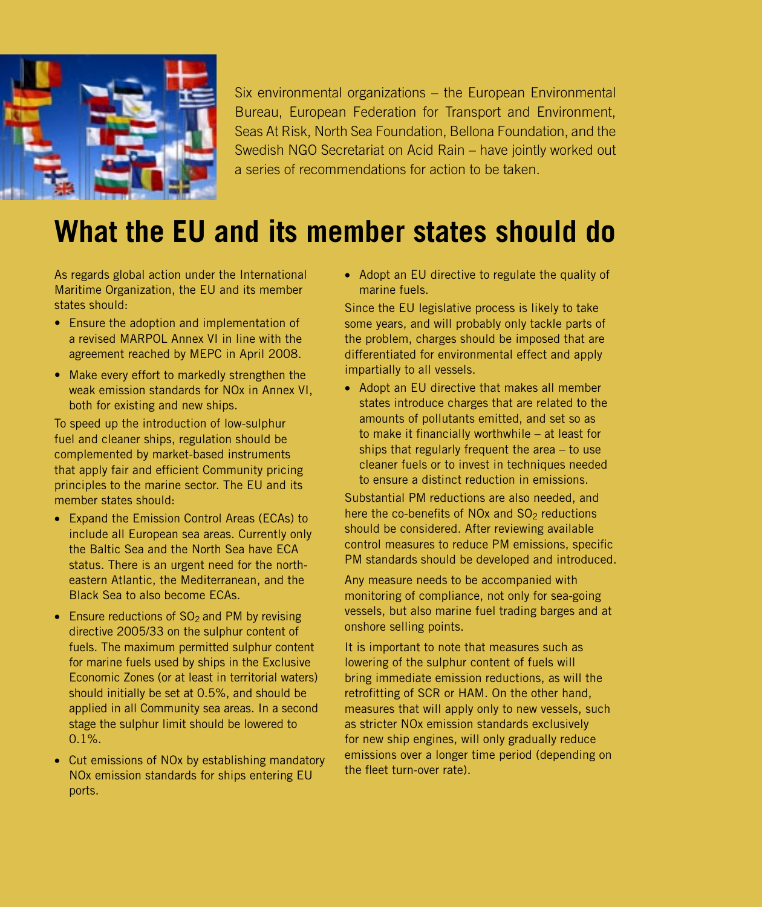

Six environmental organizations – the European Environmental Bureau, European Federation for Transport and Environment, Seas At Risk, North Sea Foundation, Bellona Foundation, and the Swedish NGO Secretariat on Acid Rain – have jointly worked out a series of recommendations for action to be taken.

## **What the EU and its member states should do**

As regards global action under the International Maritime Organization, the EU and its member states should:

- Ensure the adoption and implementation of a revised MARPOL Annex VI in line with the agreement reached by MEPC in April 2008.
- Make every effort to markedly strengthen the weak emission standards for NOx in Annex VI, both for existing and new ships.

To speed up the introduction of low-sulphur fuel and cleaner ships, regulation should be complemented by market-based instruments that apply fair and efficient Community pricing principles to the marine sector. The EU and its member states should:

- Expand the Emission Control Areas (ECAs) to include all European sea areas. Currently only the Baltic Sea and the North Sea have ECA status. There is an urgent need for the northeastern Atlantic, the Mediterranean, and the Black Sea to also become ECAs.
- Ensure reductions of  $SO<sub>2</sub>$  and PM by revising directive 2005/33 on the sulphur content of fuels. The maximum permitted sulphur content for marine fuels used by ships in the Exclusive Economic Zones (or at least in territorial waters) should initially be set at 0.5%, and should be applied in all Community sea areas. In a second stage the sulphur limit should be lowered to 0.1%.
- Cut emissions of NOx by establishing mandatory NOx emission standards for ships entering EU ports.

• Adopt an EU directive to regulate the quality of marine fuels.

Since the EU legislative process is likely to take some years, and will probably only tackle parts of the problem, charges should be imposed that are differentiated for environmental effect and apply impartially to all vessels.

• Adopt an EU directive that makes all member states introduce charges that are related to the amounts of pollutants emitted, and set so as to make it financially worthwhile – at least for ships that regularly frequent the area – to use cleaner fuels or to invest in techniques needed to ensure a distinct reduction in emissions.

Substantial PM reductions are also needed, and here the co-benefits of NO<sub>x</sub> and  $SO<sub>2</sub>$  reductions should be considered. After reviewing available control measures to reduce PM emissions, specific PM standards should be developed and introduced.

Any measure needs to be accompanied with monitoring of compliance, not only for sea-going vessels, but also marine fuel trading barges and at onshore selling points.

It is important to note that measures such as lowering of the sulphur content of fuels will bring immediate emission reductions, as will the retrofitting of SCR or HAM. On the other hand, measures that will apply only to new vessels, such as stricter NOx emission standards exclusively for new ship engines, will only gradually reduce emissions over a longer time period (depending on the fleet turn-over rate).